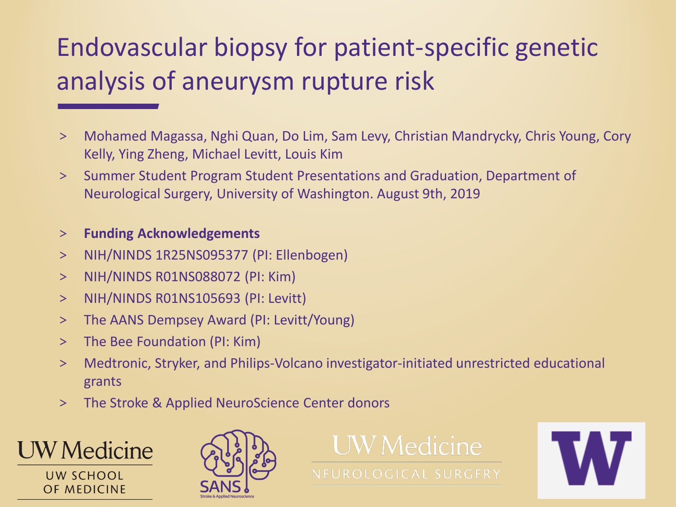# Endovascular biopsy for patient-specific genetic analysis of aneurysm rupture risk

- > Mohamed Magassa, Nghi Quan, Do Lim, Sam Levy, Christian Mandrycky, Chris Young, Cory Kelly, Ying Zheng, Michael Levitt, Louis Kim
- > Summer Student Program Student Presentations and Graduation, Department of Neurological Surgery, University of Washington. August 9th, 2019

#### > **Funding Acknowledgements**

- > NIH/NINDS 1R25NS095377 (PI: Ellenbogen)
- > NIH/NINDS R01NS088072 (PI: Kim)
- > NIH/NINDS R01NS105693 (PI: Levitt)
- > The AANS Dempsey Award (PI: Levitt/Young)
- > The Bee Foundation (PI: Kim)
- > Medtronic, Stryker, and Philips-Volcano investigator-initiated unrestricted educational grants
- > The Stroke & Applied NeuroScience Center donors



UW SCHOOL **OF MEDICINE** 





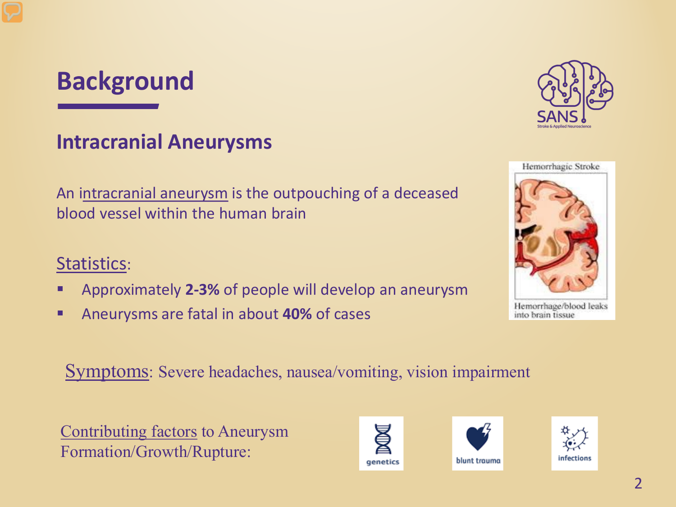# **Background**

### **Intracranial Aneurysms**

An intracranial aneurysm is the outpouching of a deceased blood vessel within the human brain

#### Statistics:

- Approximately **2-3%** of people will develop an aneurysm
- Aneurysms are fatal in about **40%** of cases

Symptoms: Severe headaches, nausea/vomiting, vision impairment

Contributing factors to Aneurysm Formation/Growth/Rupture:







infections



Hemorrhage/blood leaks into brain tissue

 $\mathcal{P}$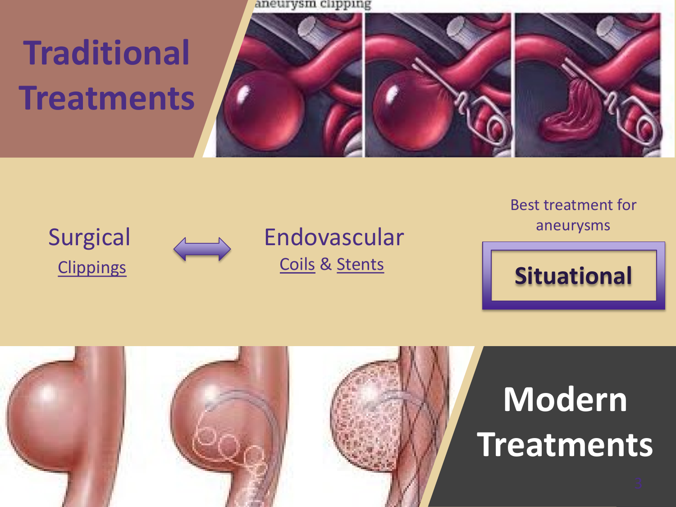aneurysm clipping

# **Traditional Treatments**



Surgical



Endovascular Coils & Stents

Best treatment for aneurysms



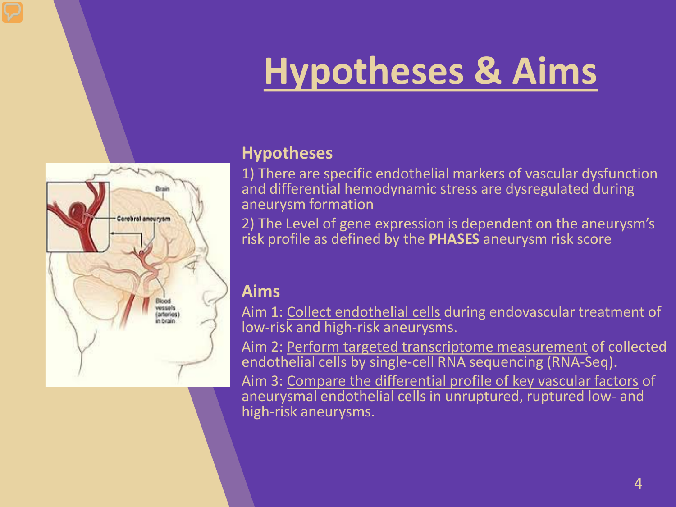# **Hypotheses & Aims**



#### **Hypotheses**

1) There are specific endothelial markers of vascular dysfunction and differential hemodynamic stress are dysregulated during aneurysm formation

2) The Level of gene expression is dependent on the aneurysm's risk profile as defined by the **PHASES** aneurysm risk score

#### **Aims**

Aim 1: Collect endothelial cells during endovascular treatment of low-risk and high-risk aneurysms.

Aim 2: Perform targeted transcriptome measurement of collected endothelial cells by single-cell RNA sequencing (RNA-Seq). Aim 3: Compare the differential profile of key vascular factors of

aneurysmal endothelial cells in unruptured, ruptured low- and high-risk aneurysms.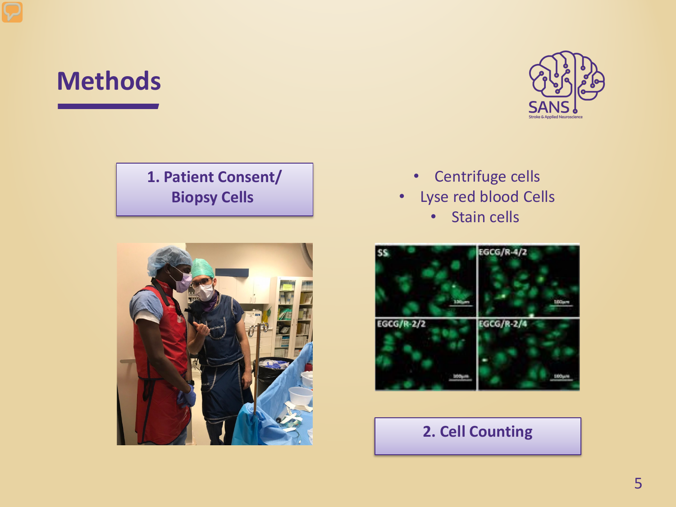## **Methods**



#### **1. Patient Consent/ Biopsy Cells**



#### • Centrifuge cells

- Lyse red blood Cells
	- Stain cells



#### **2. Cell Counting**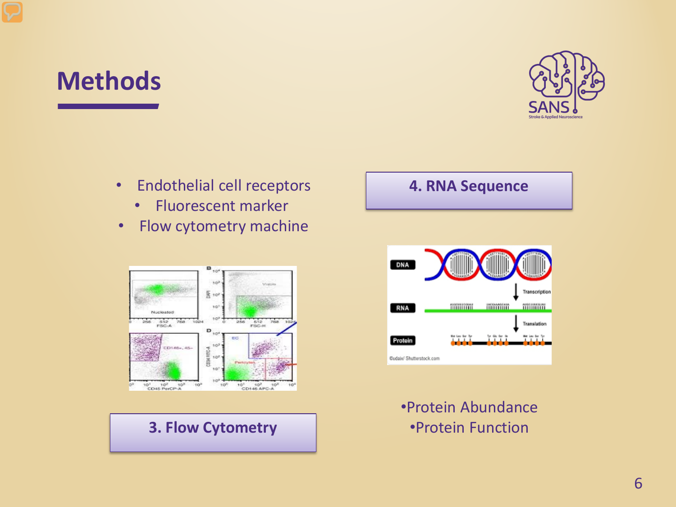# **Methods**



- Endothelial cell receptors **4. RNA Sequence**
	- Fluorescent marker
- Flow cytometry machine



#### **3. Flow Cytometry**



•Protein Abundance •Protein Function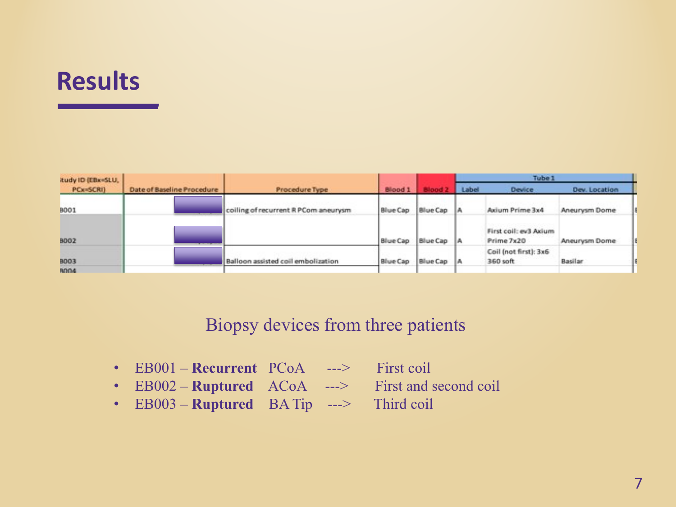# **Results**

| itudy ID (EBx=SLU,<br>PCx=SCRI) | Date of Baseline Procedure | Procedure Type                       | Blood 1         |            | Tube <sub>1</sub> |                                     |               |  |
|---------------------------------|----------------------------|--------------------------------------|-----------------|------------|-------------------|-------------------------------------|---------------|--|
|                                 |                            |                                      |                 |            | Label             | <b>Device</b>                       | Dev. Location |  |
| <b>BOO1</b>                     |                            | coiling of recurrent R PCom aneurysm | <b>Blue Cap</b> | Blue Cap A |                   | Axium Prime 3x4                     | Aneurysm Dome |  |
| <b>BOO2</b>                     |                            |                                      | Blue Cap        | Blue Cap A |                   | First coil: ev3 Axium<br>Prime 7x20 | Aneurysm Dome |  |
| <b>BOO3</b><br>ROO4             |                            | Balloon assisted coil embolization   | Blue Cap        | Blue Cap A |                   | Coil (not first): 3x6<br>360 soft   | Basilar       |  |

#### Biopsy devices from three patients

- EB001 **Recurrent** PCoA ---> First coil
- EB002 **Ruptured** ACoA ---> First and second coil
	-
- EB003 **Ruptured** BA Tip ---> Third coil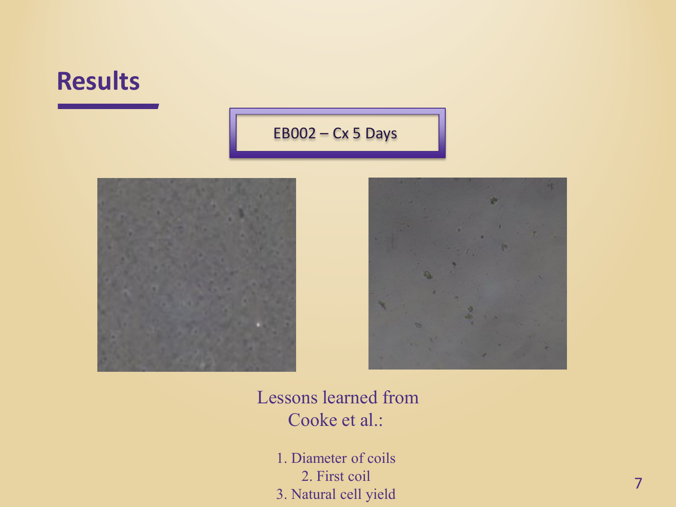## **Results**

#### EB002 – Cx 5 Days





#### Lessons learned from Cooke et al.:

1. Diameter of coils 2. First coil 3. Natural cell yield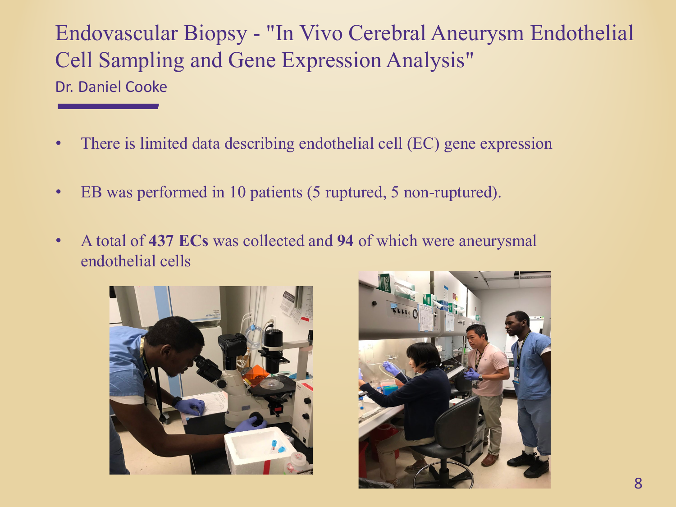Endovascular Biopsy - "In Vivo Cerebral Aneurysm Endothelial Cell Sampling and Gene Expression Analysis" Dr. Daniel Cooke

- There is limited data describing endothelial cell (EC) gene expression
- EB was performed in 10 patients (5 ruptured, 5 non-ruptured).
- A total of **437 ECs** was collected and **94** of which were aneurysmal endothelial cells